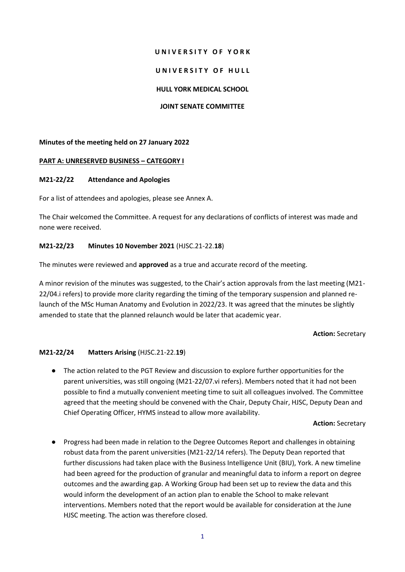#### **U N I V E R S I T Y O F Y O R K**

### UNIVERSITY OF HULL

### **HULL YORK MEDICAL SCHOOL**

### **JOINT SENATE COMMITTEE**

## **Minutes of the meeting held on 27 January 2022**

## **PART A: UNRESERVED BUSINESS – CATEGORY I**

## **M21-22/22 Attendance and Apologies**

For a list of attendees and apologies, please see Annex A.

The Chair welcomed the Committee. A request for any declarations of conflicts of interest was made and none were received.

## **M21-22/23 Minutes 10 November 2021** (HJSC.21-22.**18**)

The minutes were reviewed and **approved** as a true and accurate record of the meeting.

A minor revision of the minutes was suggested, to the Chair's action approvals from the last meeting (M21- 22/04.i refers) to provide more clarity regarding the timing of the temporary suspension and planned relaunch of the MSc Human Anatomy and Evolution in 2022/23. It was agreed that the minutes be slightly amended to state that the planned relaunch would be later that academic year.

#### **Action:** Secretary

# **M21-22/24 Matters Arising** (HJSC.21-22.**19**)

● The action related to the PGT Review and discussion to explore further opportunities for the parent universities, was still ongoing (M21-22/07.vi refers). Members noted that it had not been possible to find a mutually convenient meeting time to suit all colleagues involved. The Committee agreed that the meeting should be convened with the Chair, Deputy Chair, HJSC, Deputy Dean and Chief Operating Officer, HYMS instead to allow more availability.

#### **Action:** Secretary

● Progress had been made in relation to the Degree Outcomes Report and challenges in obtaining robust data from the parent universities (M21-22/14 refers). The Deputy Dean reported that further discussions had taken place with the Business Intelligence Unit (BIU), York. A new timeline had been agreed for the production of granular and meaningful data to inform a report on degree outcomes and the awarding gap. A Working Group had been set up to review the data and this would inform the development of an action plan to enable the School to make relevant interventions. Members noted that the report would be available for consideration at the June HJSC meeting. The action was therefore closed.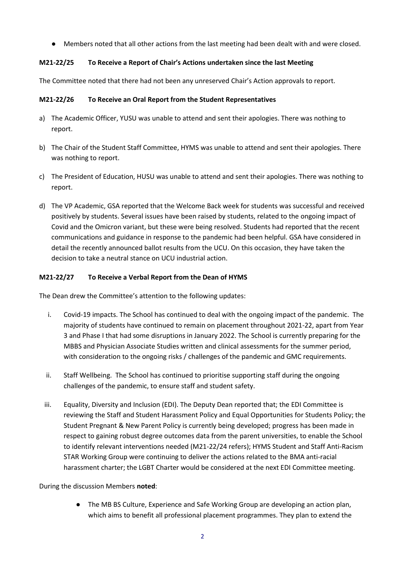● Members noted that all other actions from the last meeting had been dealt with and were closed.

# **M21-22/25 To Receive a Report of Chair's Actions undertaken since the last Meeting**

The Committee noted that there had not been any unreserved Chair's Action approvals to report.

# **M21-22/26 To Receive an Oral Report from the Student Representatives**

- a) The Academic Officer, YUSU was unable to attend and sent their apologies. There was nothing to report.
- b) The Chair of the Student Staff Committee, HYMS was unable to attend and sent their apologies. There was nothing to report.
- c) The President of Education, HUSU was unable to attend and sent their apologies. There was nothing to report.
- d) The VP Academic, GSA reported that the Welcome Back week for students was successful and received positively by students. Several issues have been raised by students, related to the ongoing impact of Covid and the Omicron variant, but these were being resolved. Students had reported that the recent communications and guidance in response to the pandemic had been helpful. GSA have considered in detail the recently announced ballot results from the UCU. On this occasion, they have taken the decision to take a neutral stance on UCU industrial action.

# **M21-22/27 To Receive a Verbal Report from the Dean of HYMS**

The Dean drew the Committee's attention to the following updates:

- i. Covid-19 impacts. The School has continued to deal with the ongoing impact of the pandemic. The majority of students have continued to remain on placement throughout 2021-22, apart from Year 3 and Phase I that had some disruptions in January 2022. The School is currently preparing for the MBBS and Physician Associate Studies written and clinical assessments for the summer period, with consideration to the ongoing risks / challenges of the pandemic and GMC requirements.
- ii. Staff Wellbeing. The School has continued to prioritise supporting staff during the ongoing challenges of the pandemic, to ensure staff and student safety.
- iii. Equality, Diversity and Inclusion (EDI). The Deputy Dean reported that; the EDI Committee is reviewing the Staff and Student Harassment Policy and Equal Opportunities for Students Policy; the Student Pregnant & New Parent Policy is currently being developed; progress has been made in respect to gaining robust degree outcomes data from the parent universities, to enable the School to identify relevant interventions needed (M21-22/24 refers); HYMS Student and Staff Anti-Racism STAR Working Group were continuing to deliver the actions related to the BMA anti-racial harassment charter; the LGBT Charter would be considered at the next EDI Committee meeting.

During the discussion Members **noted**:

● The MB BS Culture, Experience and Safe Working Group are developing an action plan, which aims to benefit all professional placement programmes. They plan to extend the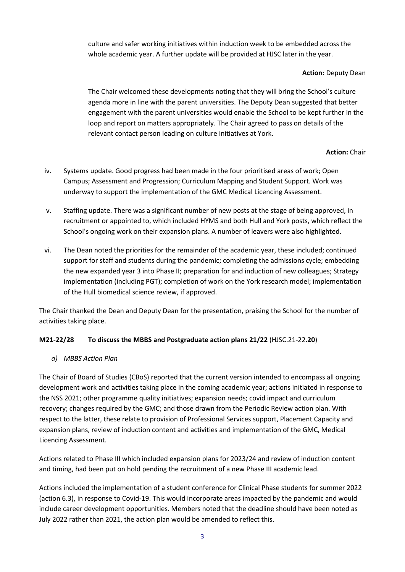culture and safer working initiatives within induction week to be embedded across the whole academic year. A further update will be provided at HJSC later in the year.

## **Action:** Deputy Dean

The Chair welcomed these developments noting that they will bring the School's culture agenda more in line with the parent universities. The Deputy Dean suggested that better engagement with the parent universities would enable the School to be kept further in the loop and report on matters appropriately. The Chair agreed to pass on details of the relevant contact person leading on culture initiatives at York.

# **Action:** Chair

- iv. Systems update. Good progress had been made in the four prioritised areas of work; Open Campus; Assessment and Progression; Curriculum Mapping and Student Support. Work was underway to support the implementation of the GMC Medical Licencing Assessment.
- v. Staffing update. There was a significant number of new posts at the stage of being approved, in recruitment or appointed to, which included HYMS and both Hull and York posts, which reflect the School's ongoing work on their expansion plans. A number of leavers were also highlighted.
- vi. The Dean noted the priorities for the remainder of the academic year, these included; continued support for staff and students during the pandemic; completing the admissions cycle; embedding the new expanded year 3 into Phase II; preparation for and induction of new colleagues; Strategy implementation (including PGT); completion of work on the York research model; implementation of the Hull biomedical science review, if approved.

The Chair thanked the Dean and Deputy Dean for the presentation, praising the School for the number of activities taking place.

# **M21-22/28 To discuss the MBBS and Postgraduate action plans 21/22** (HJSC.21-22.**20**)

# *a) MBBS Action Plan*

The Chair of Board of Studies (CBoS) reported that the current version intended to encompass all ongoing development work and activities taking place in the coming academic year; actions initiated in response to the NSS 2021; other programme quality initiatives; expansion needs; covid impact and curriculum recovery; changes required by the GMC; and those drawn from the Periodic Review action plan. With respect to the latter, these relate to provision of Professional Services support, Placement Capacity and expansion plans, review of induction content and activities and implementation of the GMC, Medical Licencing Assessment.

Actions related to Phase III which included expansion plans for 2023/24 and review of induction content and timing, had been put on hold pending the recruitment of a new Phase III academic lead.

Actions included the implementation of a student conference for Clinical Phase students for summer 2022 (action 6.3), in response to Covid-19. This would incorporate areas impacted by the pandemic and would include career development opportunities. Members noted that the deadline should have been noted as July 2022 rather than 2021, the action plan would be amended to reflect this.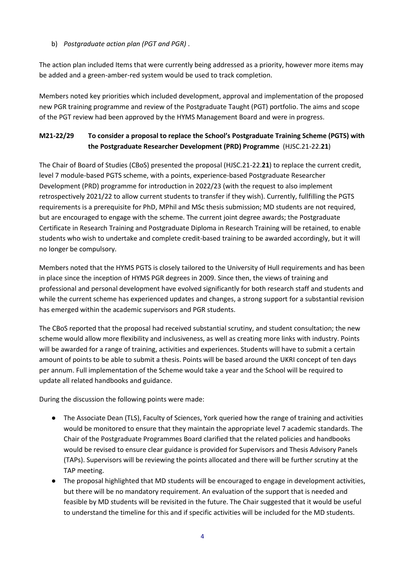# b) *Postgraduate action plan (PGT and PGR)* .

The action plan included Items that were currently being addressed as a priority, however more items may be added and a green-amber-red system would be used to track completion.

Members noted key priorities which included development, approval and implementation of the proposed new PGR training programme and review of the Postgraduate Taught (PGT) portfolio. The aims and scope of the PGT review had been approved by the HYMS Management Board and were in progress.

# **M21-22/29 To consider a proposal to replace the School's Postgraduate Training Scheme (PGTS) with the Postgraduate Researcher Development (PRD) Programme** (HJSC.21-22.**21**)

The Chair of Board of Studies (CBoS) presented the proposal (HJSC.21-22.**21**) to replace the current credit, level 7 module-based PGTS scheme, with a points, experience-based Postgraduate Researcher Development (PRD) programme for introduction in 2022/23 (with the request to also implement retrospectively 2021/22 to allow current students to transfer if they wish). Currently, fullfilling the PGTS requirements is a prerequisite for PhD, MPhil and MSc thesis submission; MD students are not required, but are encouraged to engage with the scheme. The current joint degree awards; the Postgraduate Certificate in Research Training and Postgraduate Diploma in Research Training will be retained, to enable students who wish to undertake and complete credit-based training to be awarded accordingly, but it will no longer be compulsory.

Members noted that the HYMS PGTS is closely tailored to the University of Hull requirements and has been in place since the inception of HYMS PGR degrees in 2009. Since then, the views of training and professional and personal development have evolved significantly for both research staff and students and while the current scheme has experienced updates and changes, a strong support for a substantial revision has emerged within the academic supervisors and PGR students.

The CBoS reported that the proposal had received substantial scrutiny, and student consultation; the new scheme would allow more flexibility and inclusiveness, as well as creating more links with industry. Points will be awarded for a range of training, activities and experiences. Students will have to submit a certain amount of points to be able to submit a thesis. Points will be based around the UKRI concept of ten days per annum. Full implementation of the Scheme would take a year and the School will be required to update all related handbooks and guidance.

During the discussion the following points were made:

- The Associate Dean (TLS), Faculty of Sciences, York queried how the range of training and activities would be monitored to ensure that they maintain the appropriate level 7 academic standards. The Chair of the Postgraduate Programmes Board clarified that the related policies and handbooks would be revised to ensure clear guidance is provided for Supervisors and Thesis Advisory Panels (TAPs). Supervisors will be reviewing the points allocated and there will be further scrutiny at the TAP meeting.
- The proposal highlighted that MD students will be encouraged to engage in development activities, but there will be no mandatory requirement. An evaluation of the support that is needed and feasible by MD students will be revisited in the future. The Chair suggested that it would be useful to understand the timeline for this and if specific activities will be included for the MD students.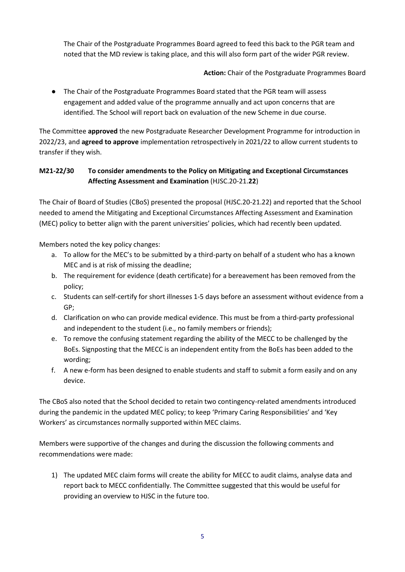The Chair of the Postgraduate Programmes Board agreed to feed this back to the PGR team and noted that the MD review is taking place, and this will also form part of the wider PGR review.

# **Action:** Chair of the Postgraduate Programmes Board

● The Chair of the Postgraduate Programmes Board stated that the PGR team will assess engagement and added value of the programme annually and act upon concerns that are identified. The School will report back on evaluation of the new Scheme in due course.

The Committee **approved** the new Postgraduate Researcher Development Programme for introduction in 2022/23, and **agreed to approve** implementation retrospectively in 2021/22 to allow current students to transfer if they wish.

# **M21-22/30 To consider amendments to the Policy on Mitigating and Exceptional Circumstances Affecting Assessment and Examination** (HJSC.20-21.**22**)

The Chair of Board of Studies (CBoS) presented the proposal (HJSC.20-21.22) and reported that the School needed to amend the Mitigating and Exceptional Circumstances Affecting Assessment and Examination (MEC) policy to better align with the parent universities' policies, which had recently been updated.

Members noted the key policy changes:

- a. To allow for the MEC's to be submitted by a third-party on behalf of a student who has a known MEC and is at risk of missing the deadline;
- b. The requirement for evidence (death certificate) for a bereavement has been removed from the policy;
- c. Students can self-certify for short illnesses 1-5 days before an assessment without evidence from a GP;
- d. Clarification on who can provide medical evidence. This must be from a third-party professional and independent to the student (i.e., no family members or friends);
- e. To remove the confusing statement regarding the ability of the MECC to be challenged by the BoEs. Signposting that the MECC is an independent entity from the BoEs has been added to the wording;
- f. A new e-form has been designed to enable students and staff to submit a form easily and on any device.

The CBoS also noted that the School decided to retain two contingency-related amendments introduced during the pandemic in the updated MEC policy; to keep 'Primary Caring Responsibilities' and 'Key Workers' as circumstances normally supported within MEC claims.

Members were supportive of the changes and during the discussion the following comments and recommendations were made:

1) The updated MEC claim forms will create the ability for MECC to audit claims, analyse data and report back to MECC confidentially. The Committee suggested that this would be useful for providing an overview to HJSC in the future too.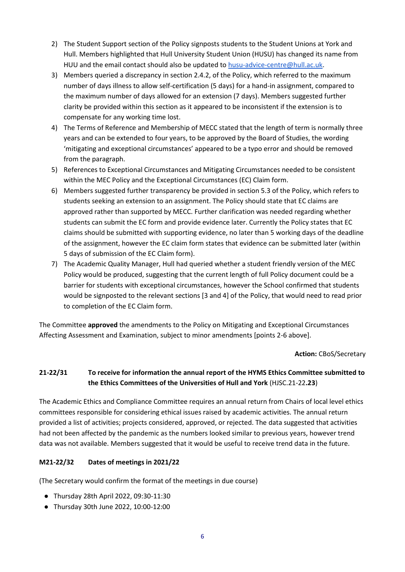- 2) The Student Support section of the Policy signposts students to the Student Unions at York and Hull. Members highlighted that Hull University Student Union (HUSU) has changed its name from HUU and the email contact should also be updated t[o husu-advice-centre@hull.ac.uk.](mailto:husu-advice-centre@hull.ac.uk)
- 3) Members queried a discrepancy in section 2.4.2, of the Policy, which referred to the maximum number of days illness to allow self-certification (5 days) for a hand-in assignment, compared to the maximum number of days allowed for an extension (7 days). Members suggested further clarity be provided within this section as it appeared to be inconsistent if the extension is to compensate for any working time lost.
- 4) The Terms of Reference and Membership of MECC stated that the length of term is normally three years and can be extended to four years, to be approved by the Board of Studies, the wording 'mitigating and exceptional circumstances' appeared to be a typo error and should be removed from the paragraph.
- 5) References to Exceptional Circumstances and Mitigating Circumstances needed to be consistent within the MEC Policy and the Exceptional Circumstances (EC) Claim form.
- 6) Members suggested further transparency be provided in section 5.3 of the Policy, which refers to students seeking an extension to an assignment. The Policy should state that EC claims are approved rather than supported by MECC. Further clarification was needed regarding whether students can submit the EC form and provide evidence later. Currently the Policy states that EC claims should be submitted with supporting evidence, no later than 5 working days of the deadline of the assignment, however the EC claim form states that evidence can be submitted later (within 5 days of submission of the EC Claim form).
- 7) The Academic Quality Manager, Hull had queried whether a student friendly version of the MEC Policy would be produced, suggesting that the current length of full Policy document could be a barrier for students with exceptional circumstances, however the School confirmed that students would be signposted to the relevant sections [3 and 4] of the Policy, that would need to read prior to completion of the EC Claim form.

The Committee **approved** the amendments to the Policy on Mitigating and Exceptional Circumstances Affecting Assessment and Examination, subject to minor amendments [points 2-6 above].

#### **Action:** CBoS/Secretary

# **21-22/31 To receive for information the annual report of the HYMS Ethics Committee submitted to the Ethics Committees of the Universities of Hull and York** (HJSC.21-22**.23**)

The Academic Ethics and Compliance Committee requires an annual return from Chairs of local level ethics committees responsible for considering ethical issues raised by academic activities. The annual return provided a list of activities; projects considered, approved, or rejected. The data suggested that activities had not been affected by the pandemic as the numbers looked similar to previous years, however trend data was not available. Members suggested that it would be useful to receive trend data in the future.

# **M21-22/32 Dates of meetings in 2021/22**

(The Secretary would confirm the format of the meetings in due course)

- Thursday 28th April 2022, 09:30-11:30
- Thursday 30th June 2022, 10:00-12:00